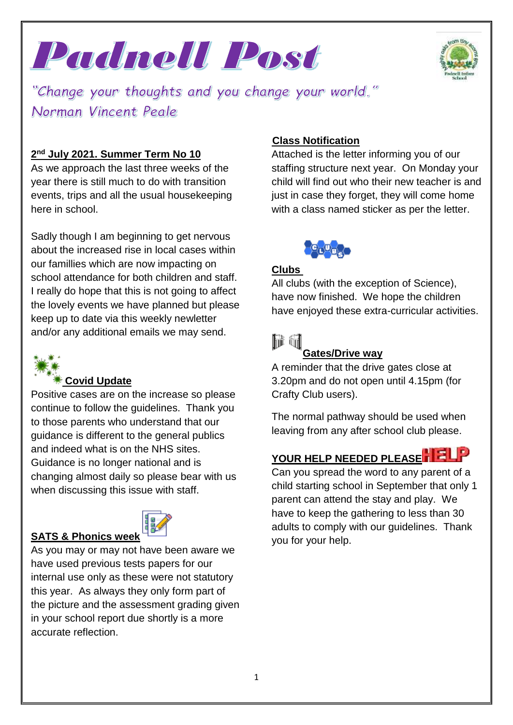



"Change your thoughts and you change your world." Norman Vincent Peale

## **2 nd July 2021. Summer Term No 10**

As we approach the last three weeks of the year there is still much to do with transition events, trips and all the usual housekeeping here in school.

Sadly though I am beginning to get nervous about the increased rise in local cases within our famillies which are now impacting on school attendance for both children and staff. I really do hope that this is not going to affect the lovely events we have planned but please keep up to date via this weekly newletter and/or any additional emails we may send.



#### **Covid Update**

Positive cases are on the increase so please continue to follow the guidelines. Thank you to those parents who understand that our guidance is different to the general publics and indeed what is on the NHS sites. Guidance is no longer national and is changing almost daily so please bear with us when discussing this issue with staff.



As you may or may not have been aware we have used previous tests papers for our internal use only as these were not statutory this year. As always they only form part of the picture and the assessment grading given in your school report due shortly is a more accurate reflection.

#### **Class Notification**

Attached is the letter informing you of our staffing structure next year. On Monday your child will find out who their new teacher is and just in case they forget, they will come home with a class named sticker as per the letter.



#### **Clubs**

All clubs (with the exception of Science), have now finished. We hope the children have enjoyed these extra-curricular activities.

# hii firi

### **Gates/Drive way**

A reminder that the drive gates close at 3.20pm and do not open until 4.15pm (for Crafty Club users).

The normal pathway should be used when leaving from any after school club please.

# **YOUR HELP NEEDED PLEASE**

Can you spread the word to any parent of a child starting school in September that only 1 parent can attend the stay and play. We have to keep the gathering to less than 30 adults to comply with our guidelines. Thank you for your help.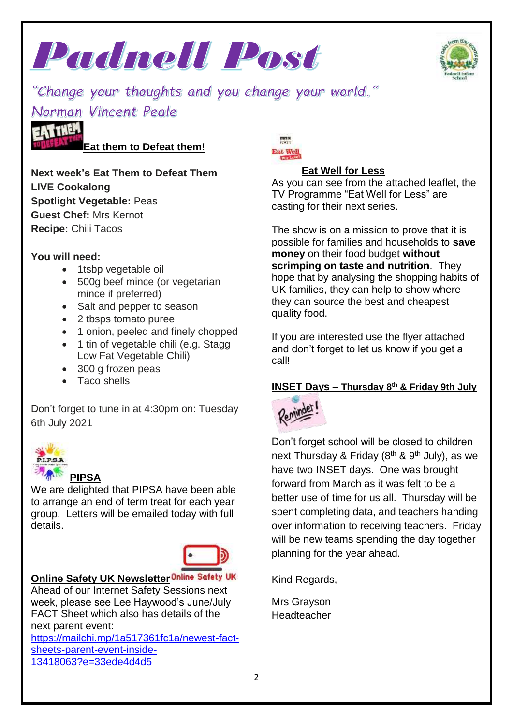



"Change your thoughts and you change your world." Norman Vincent Peale



#### **Eat them to Defeat them!**

**Next week's Eat Them to Defeat Them LIVE Cookalong Spotlight Vegetable:** Peas **Guest Chef:** Mrs Kernot **Recipe:** Chili Tacos

#### **You will need:**

- 1tsbp vegetable oil
- 500g beef mince (or vegetarian mince if preferred)
- Salt and pepper to season
- 2 tbsps tomato puree
- 1 onion, peeled and finely chopped
- 1 tin of vegetable chili (e.g. Stagg Low Fat Vegetable Chili)
- 300 g frozen peas
- Taco shells

Don't forget to tune in at 4:30pm on: Tuesday 6th July 2021



## **PIPSA**

We are delighted that PIPSA have been able to arrange an end of term treat for each year group. Letters will be emailed today with full details.



# **Online Safety UK Newsletter Online Safety UK**

Ahead of our Internet Safety Sessions next week, please see Lee Haywood's June/July FACT Sheet which also has details of the next parent event:

[https://mailchi.mp/1a517361fc1a/newest-fact](https://mailchi.mp/1a517361fc1a/newest-fact-sheets-parent-event-inside-13418063?e=33ede4d4d5)[sheets-parent-event-inside-](https://mailchi.mp/1a517361fc1a/newest-fact-sheets-parent-event-inside-13418063?e=33ede4d4d5)[13418063?e=33ede4d4d5](https://mailchi.mp/1a517361fc1a/newest-fact-sheets-parent-event-inside-13418063?e=33ede4d4d5)

Eat Well

## **Eat Well for Less**

As you can see from the attached leaflet, the TV Programme "Eat Well for Less" are casting for their next series.

The show is on a mission to prove that it is possible for families and households to **save money** on their food budget **without scrimping on taste and nutrition**. They hope that by analysing the shopping habits of UK families, they can help to show where they can source the best and cheapest quality food.

If you are interested use the flyer attached and don't forget to let us know if you get a call!

#### **INSET Days – Thursday 8th & Friday 9th July**



Don't forget school will be closed to children next Thursday & Friday ( $8<sup>th</sup>$  &  $9<sup>th</sup>$  July), as we have two INSET days. One was brought forward from March as it was felt to be a better use of time for us all. Thursday will be spent completing data, and teachers handing over information to receiving teachers. Friday will be new teams spending the day together planning for the year ahead.

Kind Regards,

Mrs Grayson **Headteacher**